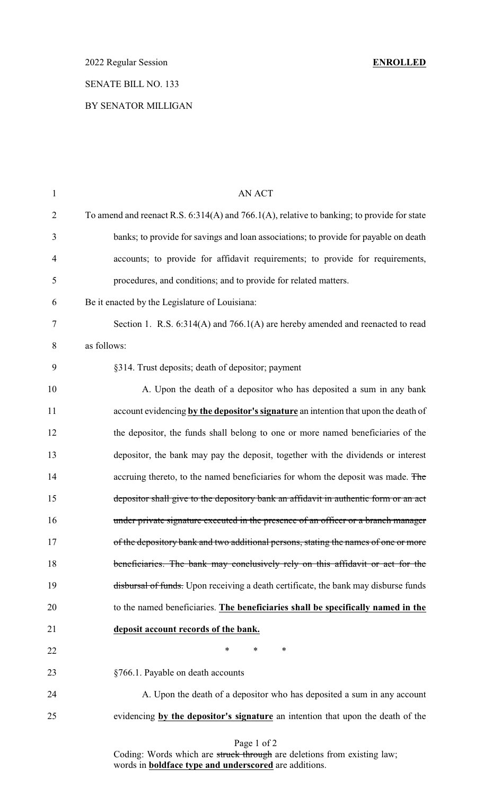## SENATE BILL NO. 133

### BY SENATOR MILLIGAN

| 1              | <b>AN ACT</b>                                                                              |
|----------------|--------------------------------------------------------------------------------------------|
| $\overline{2}$ | To amend and reenact R.S. 6:314(A) and 766.1(A), relative to banking; to provide for state |
| 3              | banks; to provide for savings and loan associations; to provide for payable on death       |
| $\overline{4}$ | accounts; to provide for affidavit requirements; to provide for requirements,              |
| 5              | procedures, and conditions; and to provide for related matters.                            |
| 6              | Be it enacted by the Legislature of Louisiana:                                             |
| 7              | Section 1. R.S. 6:314(A) and 766.1(A) are hereby amended and reenacted to read             |
| 8              | as follows:                                                                                |
| 9              | §314. Trust deposits; death of depositor; payment                                          |
| 10             | A. Upon the death of a depositor who has deposited a sum in any bank                       |
| 11             | account evidencing by the depositor's signature an intention that upon the death of        |
| 12             | the depositor, the funds shall belong to one or more named beneficiaries of the            |
| 13             | depositor, the bank may pay the deposit, together with the dividends or interest           |
| 14             | accruing thereto, to the named beneficiaries for whom the deposit was made. The            |
| 15             | depositor shall give to the depository bank an affidavit in authentic form or an act       |
| 16             | under private signature executed in the presence of an officer or a branch manager         |
| 17             | of the depository bank and two additional persons, stating the names of one or more        |
| 18             | beneficiaries. The bank may conclusively rely on this affidavit or act for the             |
| 19             | disbursal of funds. Upon receiving a death certificate, the bank may disburse funds        |
| 20             | to the named beneficiaries. The beneficiaries shall be specifically named in the           |
| 21             | deposit account records of the bank.                                                       |
| 22             | $\ast$<br>$\ast$<br>∗                                                                      |
| 23             | §766.1. Payable on death accounts                                                          |
| 24             | A. Upon the death of a depositor who has deposited a sum in any account                    |
| 25             | evidencing by the depositor's signature an intention that upon the death of the            |
|                |                                                                                            |

#### Page 1 of 2

Coding: Words which are struck through are deletions from existing law; words in **boldface type and underscored** are additions.